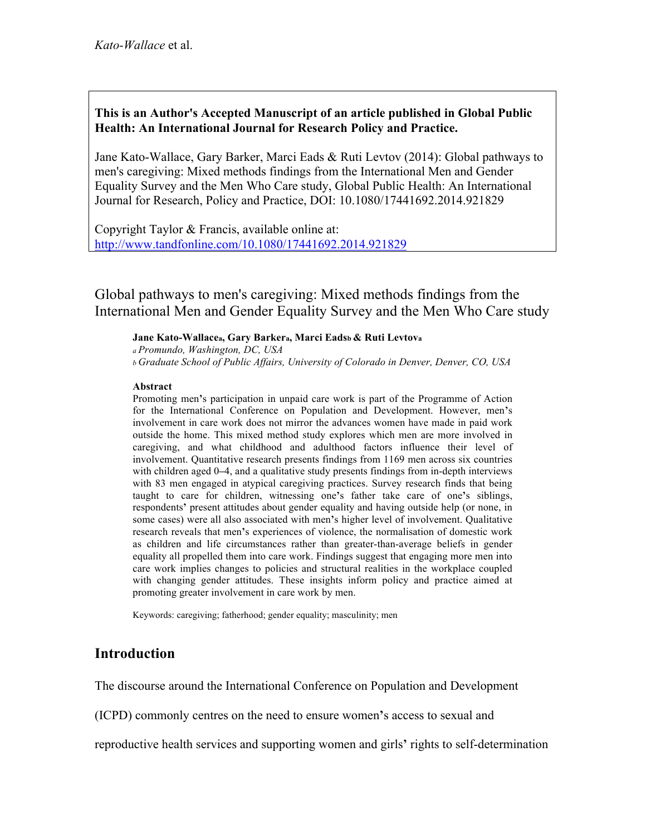# **This is an Author's Accepted Manuscript of an article published in Global Public Health: An International Journal for Research Policy and Practice.**

Jane Kato-Wallace, Gary Barker, Marci Eads & Ruti Levtov (2014): Global pathways to men's caregiving: Mixed methods findings from the International Men and Gender Equality Survey and the Men Who Care study, Global Public Health: An International Journal for Research, Policy and Practice, DOI: 10.1080/17441692.2014.921829

Copyright Taylor & Francis, available online at: http://www.tandfonline.com/10.1080/17441692.2014.921829

Global pathways to men's caregiving: Mixed methods findings from the International Men and Gender Equality Survey and the Men Who Care study

#### **Jane Kato-Wallacea, Gary Barkera, Marci Eadsb & Ruti Levtova**

*a Promundo, Washington, DC, USA b Graduate School of Public Affairs, University of Colorado in Denver, Denver, CO, USA*

#### **Abstract**

Promoting men**'**s participation in unpaid care work is part of the Programme of Action for the International Conference on Population and Development. However, men**'**s involvement in care work does not mirror the advances women have made in paid work outside the home. This mixed method study explores which men are more involved in caregiving, and what childhood and adulthood factors influence their level of involvement. Quantitative research presents findings from 1169 men across six countries with children aged 0**–**4, and a qualitative study presents findings from in-depth interviews with 83 men engaged in atypical caregiving practices. Survey research finds that being taught to care for children, witnessing one**'**s father take care of one**'**s siblings, respondents**'** present attitudes about gender equality and having outside help (or none, in some cases) were all also associated with men**'**s higher level of involvement. Qualitative research reveals that men**'**s experiences of violence, the normalisation of domestic work as children and life circumstances rather than greater-than-average beliefs in gender equality all propelled them into care work. Findings suggest that engaging more men into care work implies changes to policies and structural realities in the workplace coupled with changing gender attitudes. These insights inform policy and practice aimed at promoting greater involvement in care work by men.

Keywords: caregiving; fatherhood; gender equality; masculinity; men

# **Introduction**

The discourse around the International Conference on Population and Development

(ICPD) commonly centres on the need to ensure women**'**s access to sexual and

reproductive health services and supporting women and girls**'** rights to self-determination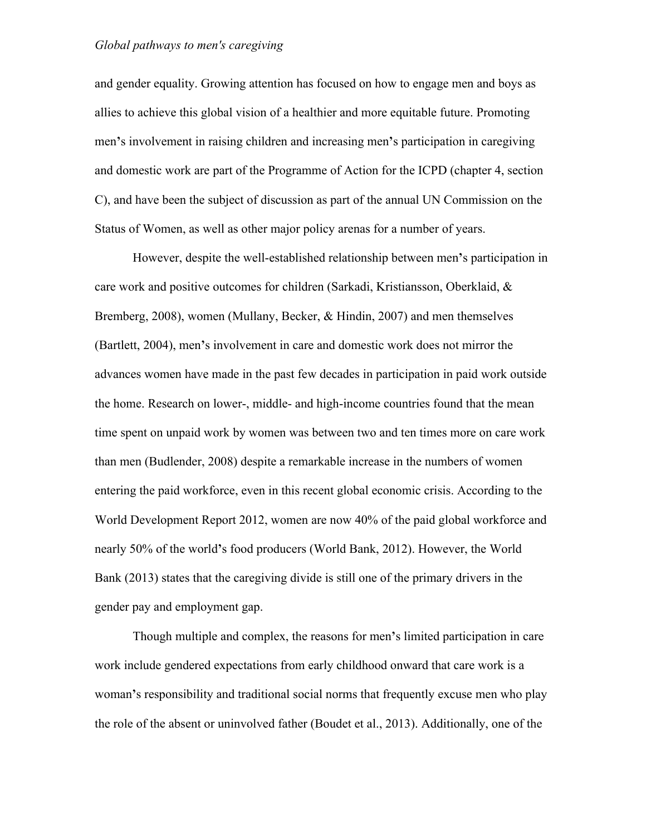and gender equality. Growing attention has focused on how to engage men and boys as allies to achieve this global vision of a healthier and more equitable future. Promoting men**'**s involvement in raising children and increasing men**'**s participation in caregiving and domestic work are part of the Programme of Action for the ICPD (chapter 4, section C), and have been the subject of discussion as part of the annual UN Commission on the Status of Women, as well as other major policy arenas for a number of years.

However, despite the well-established relationship between men**'**s participation in care work and positive outcomes for children (Sarkadi, Kristiansson, Oberklaid, & Bremberg, 2008), women (Mullany, Becker, & Hindin, 2007) and men themselves (Bartlett, 2004), men**'**s involvement in care and domestic work does not mirror the advances women have made in the past few decades in participation in paid work outside the home. Research on lower-, middle- and high-income countries found that the mean time spent on unpaid work by women was between two and ten times more on care work than men (Budlender, 2008) despite a remarkable increase in the numbers of women entering the paid workforce, even in this recent global economic crisis. According to the World Development Report 2012, women are now 40% of the paid global workforce and nearly 50% of the world**'**s food producers (World Bank, 2012). However, the World Bank (2013) states that the caregiving divide is still one of the primary drivers in the gender pay and employment gap.

Though multiple and complex, the reasons for men**'**s limited participation in care work include gendered expectations from early childhood onward that care work is a woman**'**s responsibility and traditional social norms that frequently excuse men who play the role of the absent or uninvolved father (Boudet et al., 2013). Additionally, one of the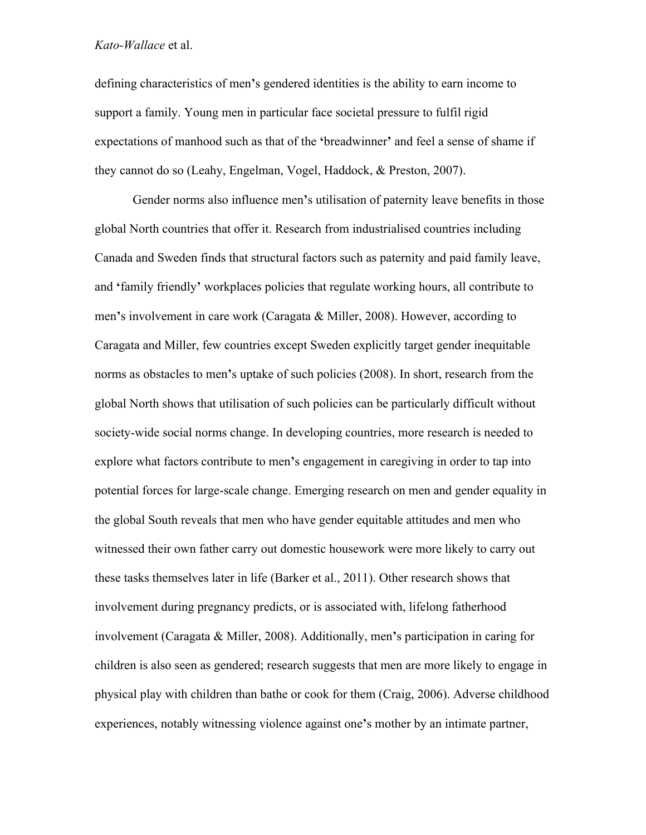defining characteristics of men**'**s gendered identities is the ability to earn income to support a family. Young men in particular face societal pressure to fulfil rigid expectations of manhood such as that of the **'**breadwinner**'** and feel a sense of shame if they cannot do so (Leahy, Engelman, Vogel, Haddock, & Preston, 2007).

Gender norms also influence men**'**s utilisation of paternity leave benefits in those global North countries that offer it. Research from industrialised countries including Canada and Sweden finds that structural factors such as paternity and paid family leave, and **'**family friendly**'** workplaces policies that regulate working hours, all contribute to men**'**s involvement in care work (Caragata & Miller, 2008). However, according to Caragata and Miller, few countries except Sweden explicitly target gender inequitable norms as obstacles to men**'**s uptake of such policies (2008). In short, research from the global North shows that utilisation of such policies can be particularly difficult without society-wide social norms change. In developing countries, more research is needed to explore what factors contribute to men**'**s engagement in caregiving in order to tap into potential forces for large-scale change. Emerging research on men and gender equality in the global South reveals that men who have gender equitable attitudes and men who witnessed their own father carry out domestic housework were more likely to carry out these tasks themselves later in life (Barker et al., 2011). Other research shows that involvement during pregnancy predicts, or is associated with, lifelong fatherhood involvement (Caragata & Miller, 2008). Additionally, men**'**s participation in caring for children is also seen as gendered; research suggests that men are more likely to engage in physical play with children than bathe or cook for them (Craig, 2006). Adverse childhood experiences, notably witnessing violence against one**'**s mother by an intimate partner,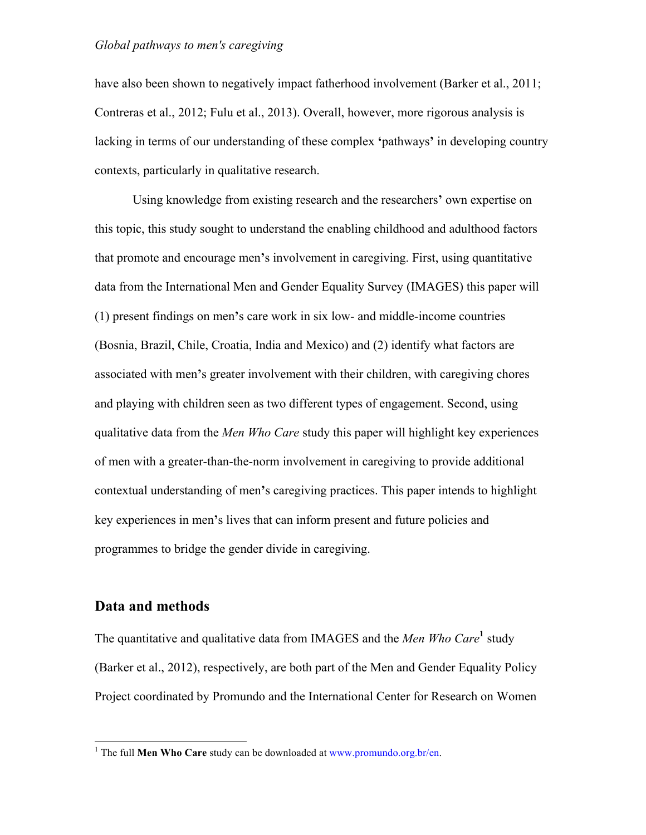have also been shown to negatively impact fatherhood involvement (Barker et al., 2011; Contreras et al., 2012; Fulu et al., 2013). Overall, however, more rigorous analysis is lacking in terms of our understanding of these complex **'**pathways**'** in developing country contexts, particularly in qualitative research.

Using knowledge from existing research and the researchers**'** own expertise on this topic, this study sought to understand the enabling childhood and adulthood factors that promote and encourage men**'**s involvement in caregiving. First, using quantitative data from the International Men and Gender Equality Survey (IMAGES) this paper will (1) present findings on men**'**s care work in six low- and middle-income countries (Bosnia, Brazil, Chile, Croatia, India and Mexico) and (2) identify what factors are associated with men**'**s greater involvement with their children, with caregiving chores and playing with children seen as two different types of engagement. Second, using qualitative data from the *Men Who Care* study this paper will highlight key experiences of men with a greater-than-the-norm involvement in caregiving to provide additional contextual understanding of men**'**s caregiving practices. This paper intends to highlight key experiences in men**'**s lives that can inform present and future policies and programmes to bridge the gender divide in caregiving.

# **Data and methods**

The quantitative and qualitative data from IMAGES and the *Men Who Care***<sup>1</sup>** study (Barker et al., 2012), respectively, are both part of the Men and Gender Equality Policy Project coordinated by Promundo and the International Center for Research on Women

<sup>&</sup>lt;sup>1</sup> The full **Men Who Care** study can be downloaded at www.promundo.org.br/en.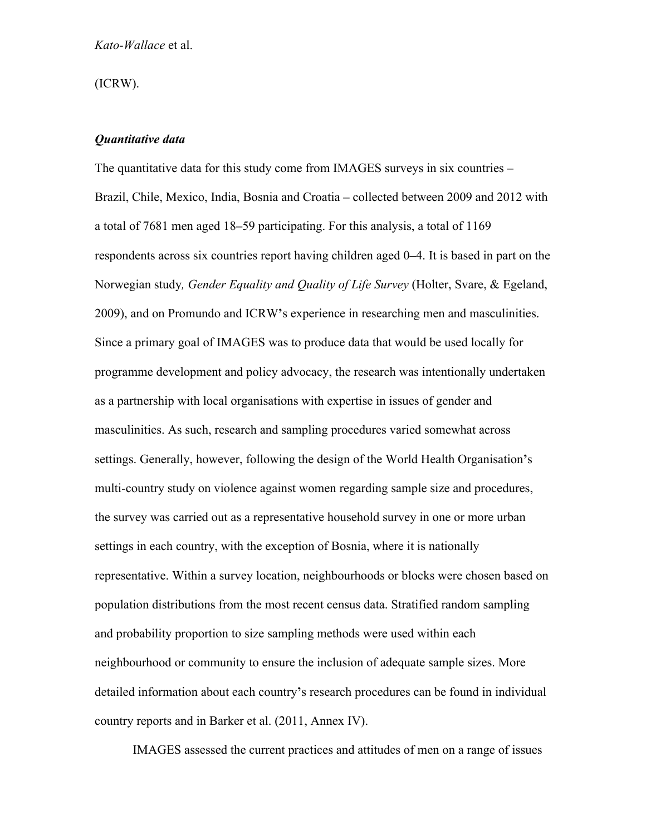(ICRW).

#### *Quantitative data*

The quantitative data for this study come from IMAGES surveys in six countries **–** Brazil, Chile, Mexico, India, Bosnia and Croatia **–** collected between 2009 and 2012 with a total of 7681 men aged 18**–**59 participating. For this analysis, a total of 1169 respondents across six countries report having children aged 0**–**4. It is based in part on the Norwegian study*, Gender Equality and Quality of Life Survey* (Holter, Svare, & Egeland, 2009), and on Promundo and ICRW**'**s experience in researching men and masculinities. Since a primary goal of IMAGES was to produce data that would be used locally for programme development and policy advocacy, the research was intentionally undertaken as a partnership with local organisations with expertise in issues of gender and masculinities. As such, research and sampling procedures varied somewhat across settings. Generally, however, following the design of the World Health Organisation**'**s multi-country study on violence against women regarding sample size and procedures, the survey was carried out as a representative household survey in one or more urban settings in each country, with the exception of Bosnia, where it is nationally representative. Within a survey location, neighbourhoods or blocks were chosen based on population distributions from the most recent census data. Stratified random sampling and probability proportion to size sampling methods were used within each neighbourhood or community to ensure the inclusion of adequate sample sizes. More detailed information about each country**'**s research procedures can be found in individual country reports and in Barker et al. (2011, Annex IV).

IMAGES assessed the current practices and attitudes of men on a range of issues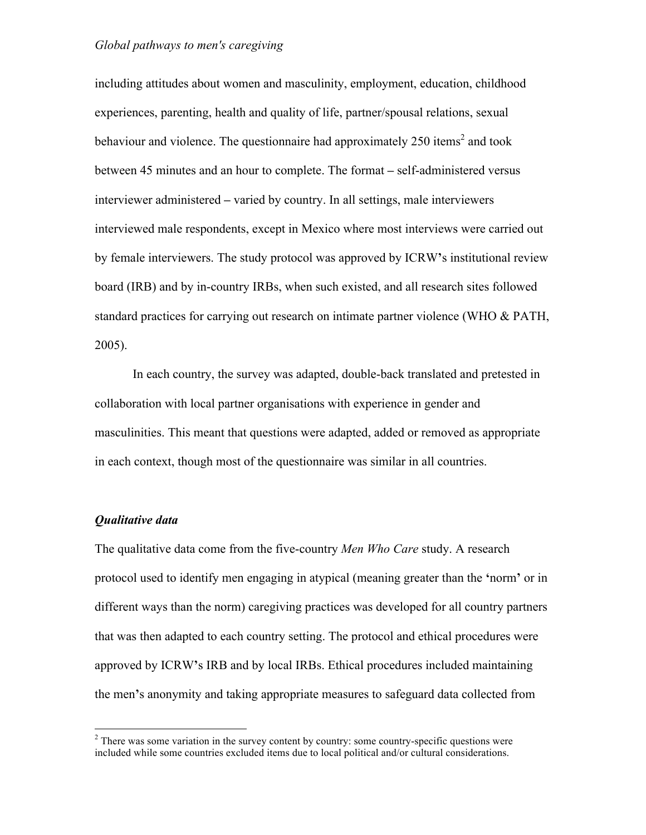including attitudes about women and masculinity, employment, education, childhood experiences, parenting, health and quality of life, partner/spousal relations, sexual behaviour and violence. The questionnaire had approximately  $250$  items<sup>2</sup> and took between 45 minutes and an hour to complete. The format **–** self-administered versus interviewer administered **–** varied by country. In all settings, male interviewers interviewed male respondents, except in Mexico where most interviews were carried out by female interviewers. The study protocol was approved by ICRW**'**s institutional review board (IRB) and by in-country IRBs, when such existed, and all research sites followed standard practices for carrying out research on intimate partner violence (WHO & PATH, 2005).

In each country, the survey was adapted, double-back translated and pretested in collaboration with local partner organisations with experience in gender and masculinities. This meant that questions were adapted, added or removed as appropriate in each context, though most of the questionnaire was similar in all countries.

#### *Qualitative data*

The qualitative data come from the five-country *Men Who Care* study. A research protocol used to identify men engaging in atypical (meaning greater than the **'**norm**'** or in different ways than the norm) caregiving practices was developed for all country partners that was then adapted to each country setting. The protocol and ethical procedures were approved by ICRW**'**s IRB and by local IRBs. Ethical procedures included maintaining the men**'**s anonymity and taking appropriate measures to safeguard data collected from

 $1$  There was some variation in the survey content by country: some country-specific questions were included while some countries excluded items due to local political and/or cultural considerations.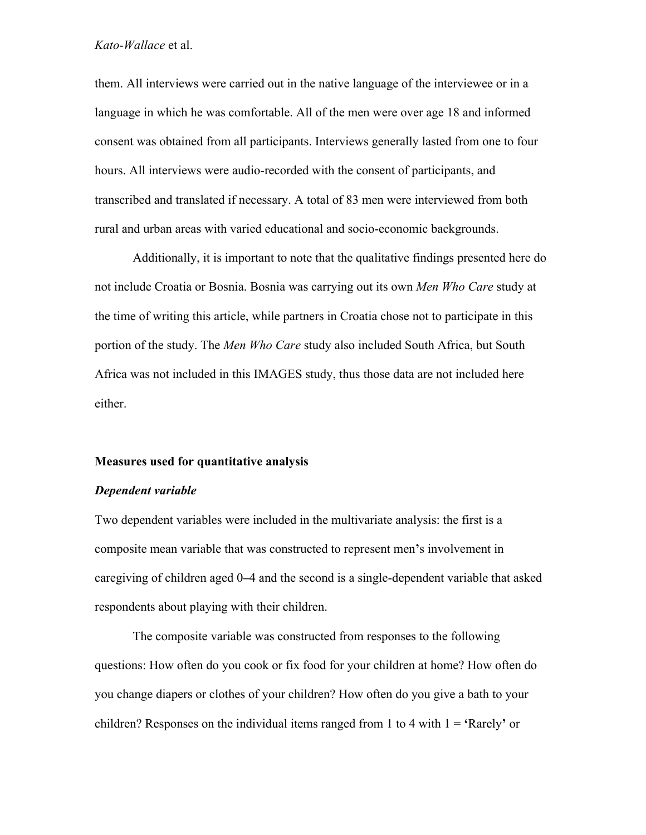them. All interviews were carried out in the native language of the interviewee or in a language in which he was comfortable. All of the men were over age 18 and informed consent was obtained from all participants. Interviews generally lasted from one to four hours. All interviews were audio-recorded with the consent of participants, and transcribed and translated if necessary. A total of 83 men were interviewed from both rural and urban areas with varied educational and socio-economic backgrounds.

Additionally, it is important to note that the qualitative findings presented here do not include Croatia or Bosnia. Bosnia was carrying out its own *Men Who Care* study at the time of writing this article, while partners in Croatia chose not to participate in this portion of the study. The *Men Who Care* study also included South Africa, but South Africa was not included in this IMAGES study, thus those data are not included here either.

#### **Measures used for quantitative analysis**

#### *Dependent variable*

Two dependent variables were included in the multivariate analysis: the first is a composite mean variable that was constructed to represent men**'**s involvement in caregiving of children aged 0**–**4 and the second is a single-dependent variable that asked respondents about playing with their children.

The composite variable was constructed from responses to the following questions: How often do you cook or fix food for your children at home? How often do you change diapers or clothes of your children? How often do you give a bath to your children? Responses on the individual items ranged from 1 to 4 with 1 = **'**Rarely**'** or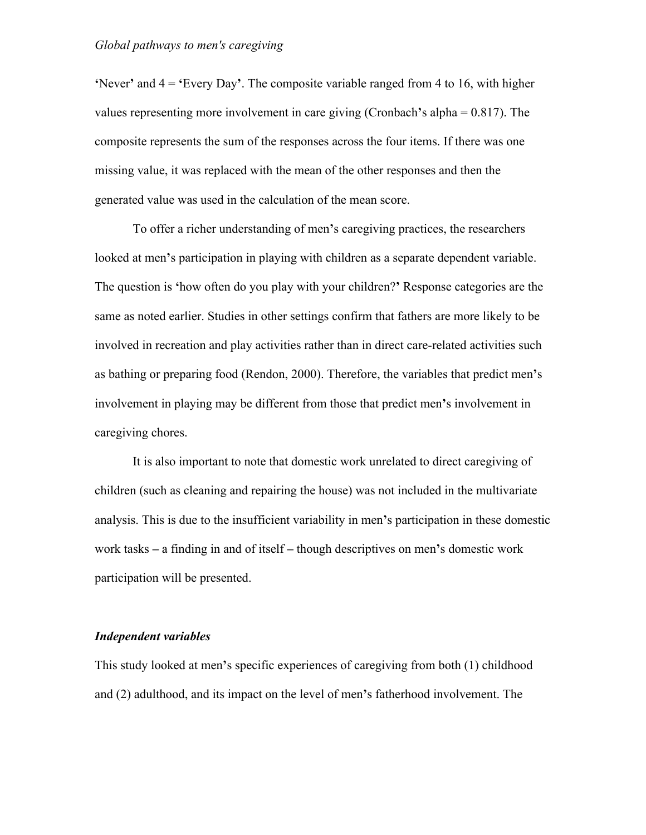**'**Never**'** and 4 = **'**Every Day**'**. The composite variable ranged from 4 to 16, with higher values representing more involvement in care giving (Cronbach**'**s alpha = 0.817). The composite represents the sum of the responses across the four items. If there was one missing value, it was replaced with the mean of the other responses and then the generated value was used in the calculation of the mean score.

To offer a richer understanding of men**'**s caregiving practices, the researchers looked at men**'**s participation in playing with children as a separate dependent variable. The question is **'**how often do you play with your children?**'** Response categories are the same as noted earlier. Studies in other settings confirm that fathers are more likely to be involved in recreation and play activities rather than in direct care-related activities such as bathing or preparing food (Rendon, 2000). Therefore, the variables that predict men**'**s involvement in playing may be different from those that predict men**'**s involvement in caregiving chores.

It is also important to note that domestic work unrelated to direct caregiving of children (such as cleaning and repairing the house) was not included in the multivariate analysis. This is due to the insufficient variability in men**'**s participation in these domestic work tasks **–** a finding in and of itself **–** though descriptives on men**'**s domestic work participation will be presented.

#### *Independent variables*

This study looked at men**'**s specific experiences of caregiving from both (1) childhood and (2) adulthood, and its impact on the level of men**'**s fatherhood involvement. The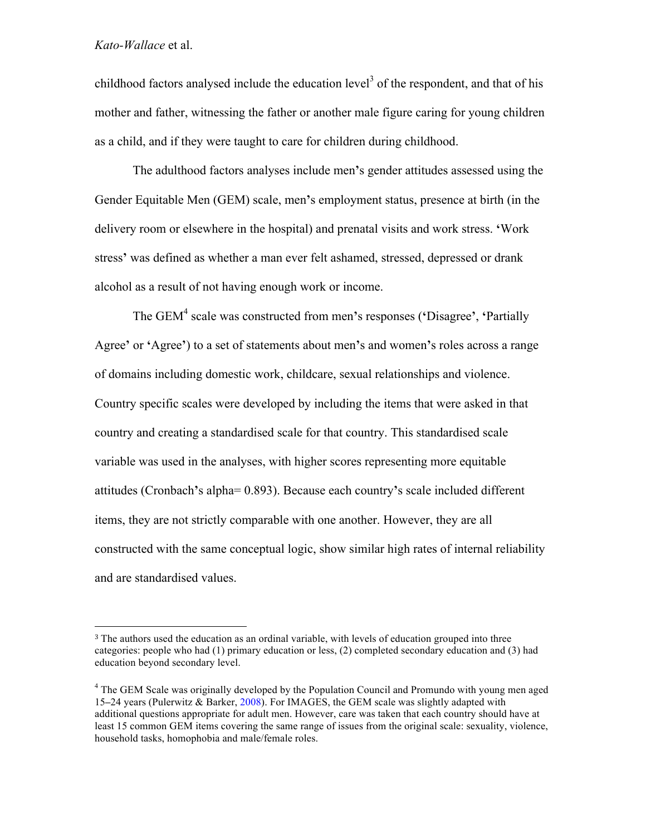!!!!!!!!!!!!!!!!!!!!!!!!!!!!!!!!!!!!!!!!!!!!!!!!!!!!!!!

childhood factors analysed include the education level<sup>3</sup> of the respondent, and that of his mother and father, witnessing the father or another male figure caring for young children as a child, and if they were taught to care for children during childhood.

The adulthood factors analyses include men**'**s gender attitudes assessed using the Gender Equitable Men (GEM) scale, men**'**s employment status, presence at birth (in the delivery room or elsewhere in the hospital) and prenatal visits and work stress. **'**Work stress**'** was defined as whether a man ever felt ashamed, stressed, depressed or drank alcohol as a result of not having enough work or income.

The GEM4 scale was constructed from men**'**s responses (**'**Disagree**'**, **'**Partially Agree**'** or **'**Agree**'**) to a set of statements about men**'**s and women**'**s roles across a range of domains including domestic work, childcare, sexual relationships and violence. Country specific scales were developed by including the items that were asked in that country and creating a standardised scale for that country. This standardised scale variable was used in the analyses, with higher scores representing more equitable attitudes (Cronbach**'**s alpha= 0.893). Because each country**'**s scale included different items, they are not strictly comparable with one another. However, they are all constructed with the same conceptual logic, show similar high rates of internal reliability and are standardised values.

<sup>&</sup>lt;sup>3</sup> The authors used the education as an ordinal variable, with levels of education grouped into three categories: people who had (1) primary education or less, (2) completed secondary education and (3) had education beyond secondary level.

<sup>&</sup>lt;sup>4</sup> The GEM Scale was originally developed by the Population Council and Promundo with young men aged 15**–**24 years (Pulerwitz & Barker, 2008). For IMAGES, the GEM scale was slightly adapted with additional questions appropriate for adult men. However, care was taken that each country should have at least 15 common GEM items covering the same range of issues from the original scale: sexuality, violence, household tasks, homophobia and male/female roles.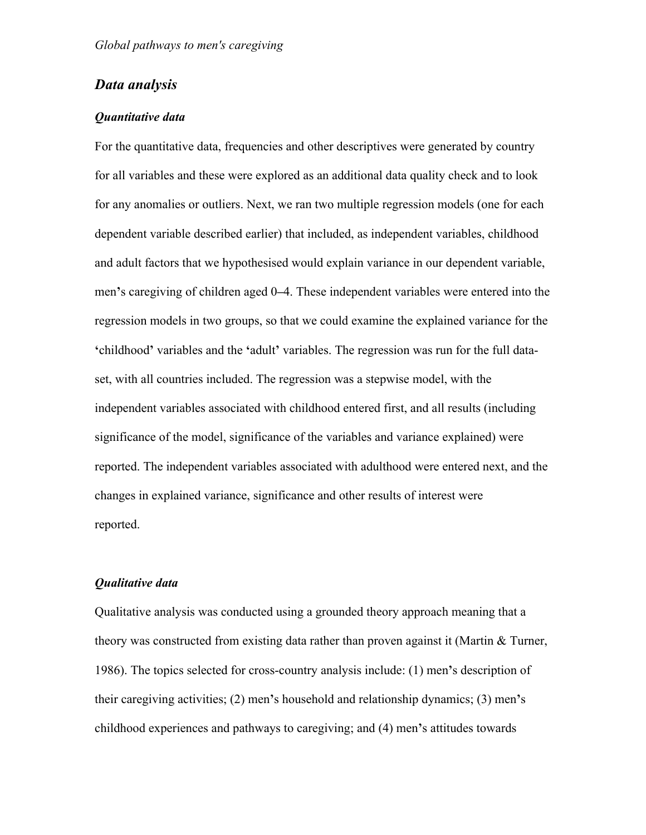# *Data analysis*

### *Quantitative data*

For the quantitative data, frequencies and other descriptives were generated by country for all variables and these were explored as an additional data quality check and to look for any anomalies or outliers. Next, we ran two multiple regression models (one for each dependent variable described earlier) that included, as independent variables, childhood and adult factors that we hypothesised would explain variance in our dependent variable, men**'**s caregiving of children aged 0**–**4. These independent variables were entered into the regression models in two groups, so that we could examine the explained variance for the **'**childhood**'** variables and the **'**adult**'** variables. The regression was run for the full dataset, with all countries included. The regression was a stepwise model, with the independent variables associated with childhood entered first, and all results (including significance of the model, significance of the variables and variance explained) were reported. The independent variables associated with adulthood were entered next, and the changes in explained variance, significance and other results of interest were reported.

#### *Qualitative data*

Qualitative analysis was conducted using a grounded theory approach meaning that a theory was constructed from existing data rather than proven against it (Martin & Turner, 1986). The topics selected for cross-country analysis include: (1) men**'**s description of their caregiving activities; (2) men**'**s household and relationship dynamics; (3) men**'**s childhood experiences and pathways to caregiving; and (4) men**'**s attitudes towards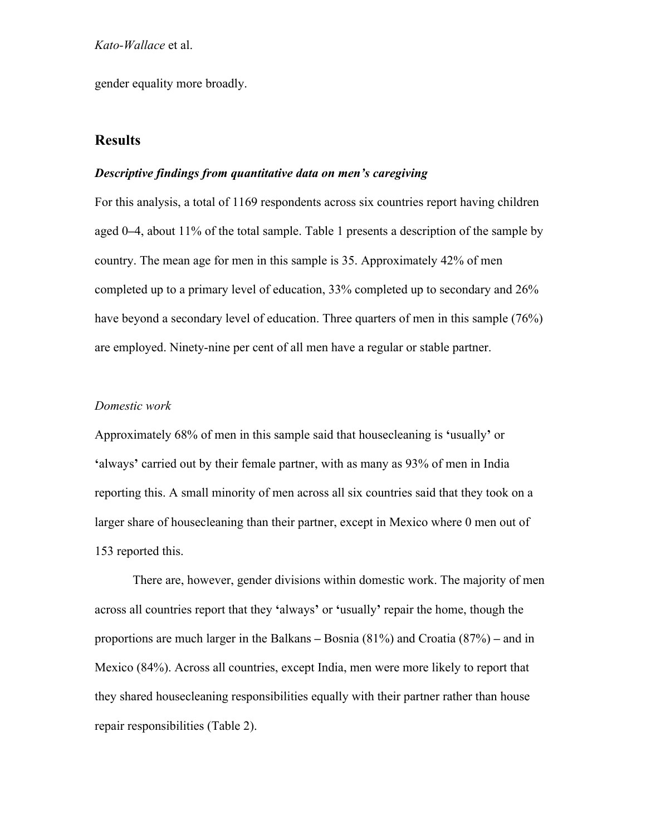gender equality more broadly.

# **Results**

#### *Descriptive findings from quantitative data on men's caregiving*

For this analysis, a total of 1169 respondents across six countries report having children aged 0**–**4, about 11% of the total sample. Table 1 presents a description of the sample by country. The mean age for men in this sample is 35. Approximately 42% of men completed up to a primary level of education, 33% completed up to secondary and 26% have beyond a secondary level of education. Three quarters of men in this sample (76%) are employed. Ninety-nine per cent of all men have a regular or stable partner.

#### *Domestic work*

Approximately 68% of men in this sample said that housecleaning is **'**usually**'** or **'**always**'** carried out by their female partner, with as many as 93% of men in India reporting this. A small minority of men across all six countries said that they took on a larger share of housecleaning than their partner, except in Mexico where 0 men out of 153 reported this.

There are, however, gender divisions within domestic work. The majority of men across all countries report that they **'**always**'** or **'**usually**'** repair the home, though the proportions are much larger in the Balkans **–** Bosnia (81%) and Croatia (87%) **–** and in Mexico (84%). Across all countries, except India, men were more likely to report that they shared housecleaning responsibilities equally with their partner rather than house repair responsibilities (Table 2).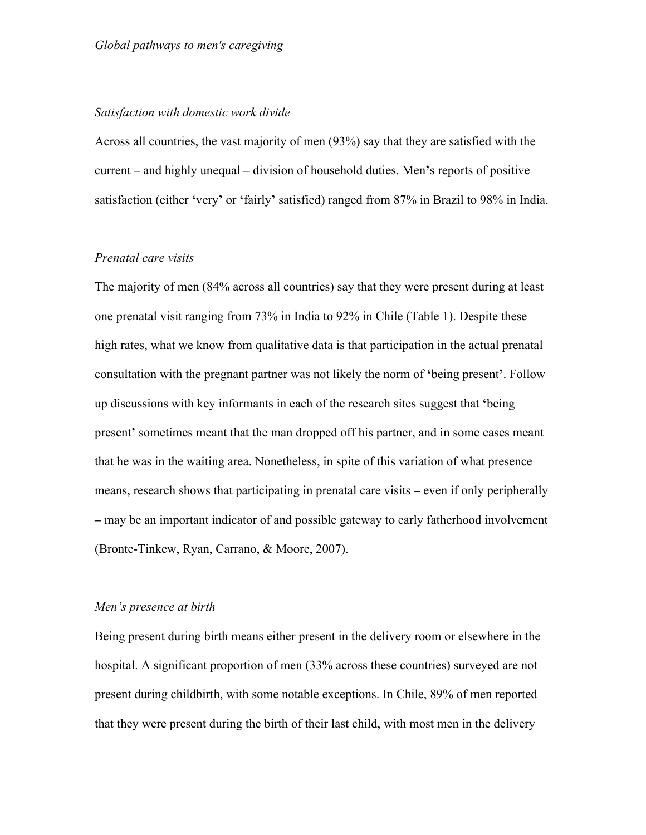#### *Satisfaction with domestic work divide*

Across all countries, the vast majority of men (93%) say that they are satisfied with the current **–** and highly unequal **–** division of household duties. Men**'**s reports of positive satisfaction (either **'**very**'** or **'**fairly**'** satisfied) ranged from 87% in Brazil to 98% in India.

#### *Prenatal care visits*

The majority of men (84% across all countries) say that they were present during at least one prenatal visit ranging from 73% in India to 92% in Chile (Table 1). Despite these high rates, what we know from qualitative data is that participation in the actual prenatal consultation with the pregnant partner was not likely the norm of **'**being present**'**. Follow up discussions with key informants in each of the research sites suggest that **'**being present**'** sometimes meant that the man dropped off his partner, and in some cases meant that he was in the waiting area. Nonetheless, in spite of this variation of what presence means, research shows that participating in prenatal care visits **–** even if only peripherally **–** may be an important indicator of and possible gateway to early fatherhood involvement (Bronte-Tinkew, Ryan, Carrano, & Moore, 2007).

#### *Men's presence at birth*

Being present during birth means either present in the delivery room or elsewhere in the hospital. A significant proportion of men (33% across these countries) surveyed are not present during childbirth, with some notable exceptions. In Chile, 89% of men reported that they were present during the birth of their last child, with most men in the delivery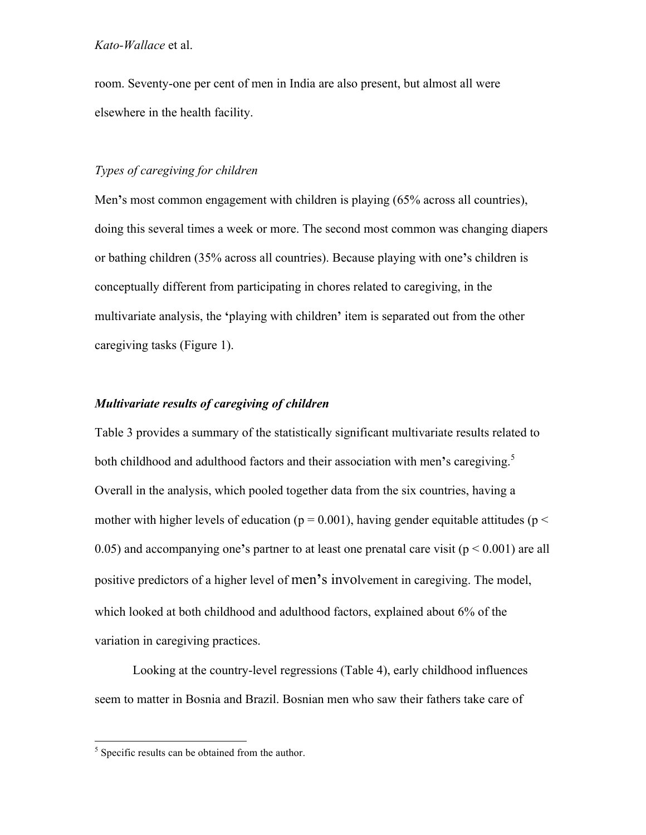room. Seventy-one per cent of men in India are also present, but almost all were elsewhere in the health facility.

### *Types of caregiving for children*

Men**'**s most common engagement with children is playing (65% across all countries), doing this several times a week or more. The second most common was changing diapers or bathing children (35% across all countries). Because playing with one**'**s children is conceptually different from participating in chores related to caregiving, in the multivariate analysis, the **'**playing with children**'** item is separated out from the other caregiving tasks (Figure 1).

### *Multivariate results of caregiving of children*

Table 3 provides a summary of the statistically significant multivariate results related to both childhood and adulthood factors and their association with men's caregiving.<sup>5</sup> Overall in the analysis, which pooled together data from the six countries, having a mother with higher levels of education ( $p = 0.001$ ), having gender equitable attitudes ( $p <$ 0.05) and accompanying one**'**s partner to at least one prenatal care visit (p < 0.001) are all positive predictors of a higher level of men**'**s involvement in caregiving. The model, which looked at both childhood and adulthood factors, explained about 6% of the variation in caregiving practices.

Looking at the country-level regressions (Table 4), early childhood influences seem to matter in Bosnia and Brazil. Bosnian men who saw their fathers take care of

 $<sup>5</sup>$  Specific results can be obtained from the author.</sup>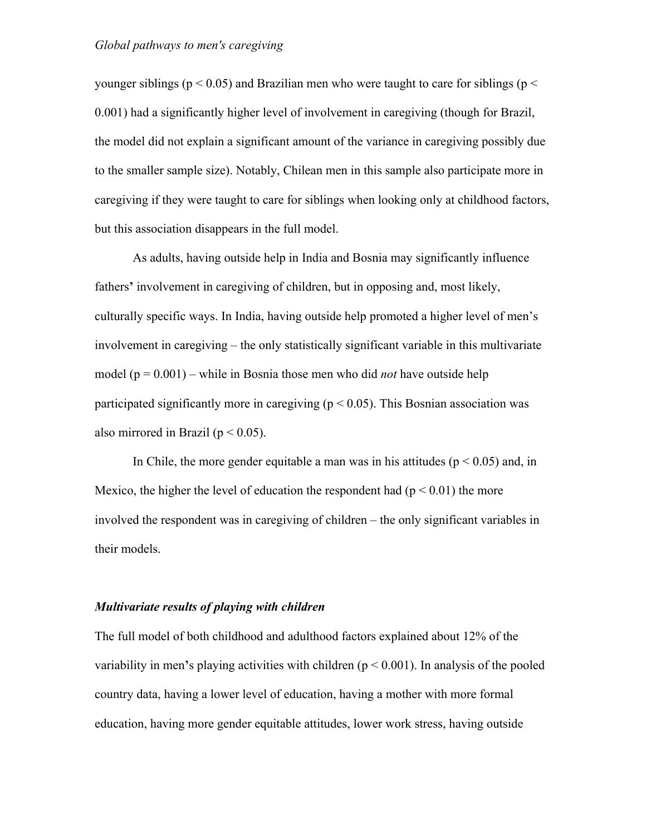younger siblings ( $p < 0.05$ ) and Brazilian men who were taught to care for siblings ( $p <$ 0.001) had a significantly higher level of involvement in caregiving (though for Brazil, the model did not explain a significant amount of the variance in caregiving possibly due to the smaller sample size). Notably, Chilean men in this sample also participate more in caregiving if they were taught to care for siblings when looking only at childhood factors, but this association disappears in the full model.

As adults, having outside help in India and Bosnia may significantly influence fathers' involvement in caregiving of children, but in opposing and, most likely, culturally specific ways. In India, having outside help promoted a higher level of men's involvement in caregiving – the only statistically significant variable in this multivariate model (p = 0.001) – while in Bosnia those men who did *not* have outside help participated significantly more in caregiving ( $p < 0.05$ ). This Bosnian association was also mirrored in Brazil ( $p < 0.05$ ).

In Chile, the more gender equitable a man was in his attitudes ( $p < 0.05$ ) and, in Mexico, the higher the level of education the respondent had  $(p < 0.01)$  the more involved the respondent was in caregiving of children – the only significant variables in their models.

#### *Multivariate results of playing with children*

The full model of both childhood and adulthood factors explained about 12% of the variability in men**'**s playing activities with children (p < 0.001). In analysis of the pooled country data, having a lower level of education, having a mother with more formal education, having more gender equitable attitudes, lower work stress, having outside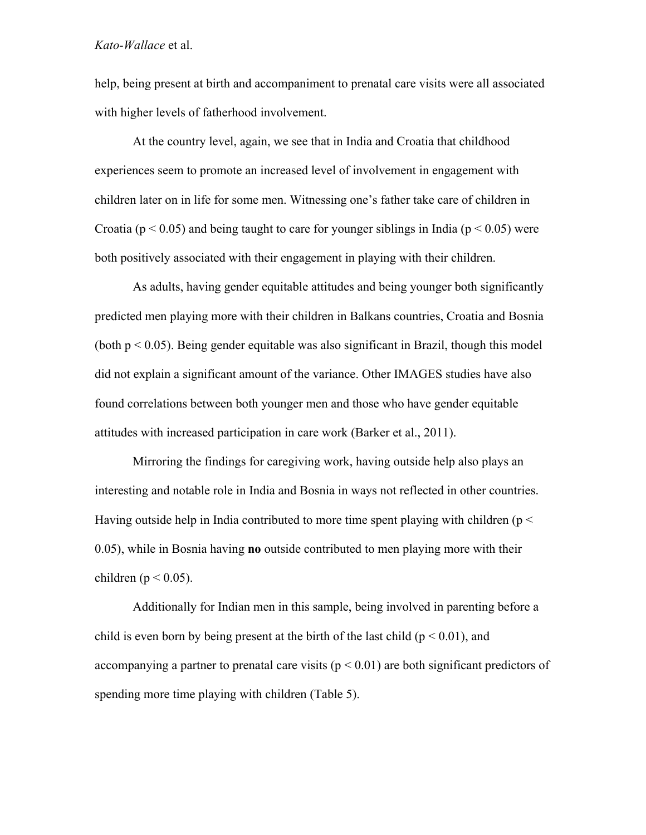help, being present at birth and accompaniment to prenatal care visits were all associated with higher levels of fatherhood involvement.

At the country level, again, we see that in India and Croatia that childhood experiences seem to promote an increased level of involvement in engagement with children later on in life for some men. Witnessing one's father take care of children in Croatia ( $p < 0.05$ ) and being taught to care for younger siblings in India ( $p < 0.05$ ) were both positively associated with their engagement in playing with their children.

As adults, having gender equitable attitudes and being younger both significantly predicted men playing more with their children in Balkans countries, Croatia and Bosnia (both  $p \le 0.05$ ). Being gender equitable was also significant in Brazil, though this model did not explain a significant amount of the variance. Other IMAGES studies have also found correlations between both younger men and those who have gender equitable attitudes with increased participation in care work (Barker et al., 2011).

Mirroring the findings for caregiving work, having outside help also plays an interesting and notable role in India and Bosnia in ways not reflected in other countries. Having outside help in India contributed to more time spent playing with children ( $p <$ 0.05), while in Bosnia having **no** outside contributed to men playing more with their children ( $p < 0.05$ ).

Additionally for Indian men in this sample, being involved in parenting before a child is even born by being present at the birth of the last child ( $p < 0.01$ ), and accompanying a partner to prenatal care visits ( $p < 0.01$ ) are both significant predictors of spending more time playing with children (Table 5).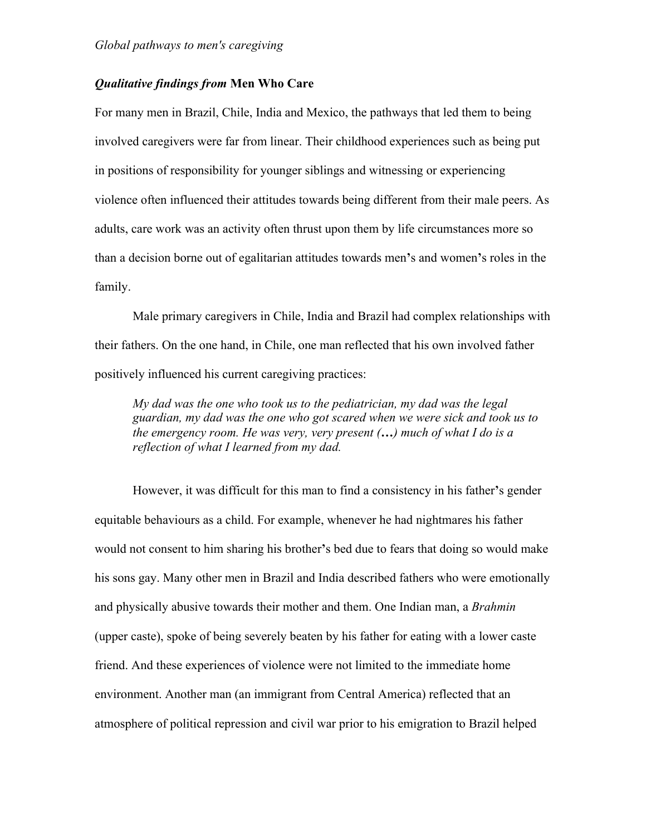### *Qualitative findings from* **Men Who Care**

For many men in Brazil, Chile, India and Mexico, the pathways that led them to being involved caregivers were far from linear. Their childhood experiences such as being put in positions of responsibility for younger siblings and witnessing or experiencing violence often influenced their attitudes towards being different from their male peers. As adults, care work was an activity often thrust upon them by life circumstances more so than a decision borne out of egalitarian attitudes towards men**'**s and women**'**s roles in the family.

Male primary caregivers in Chile, India and Brazil had complex relationships with their fathers. On the one hand, in Chile, one man reflected that his own involved father positively influenced his current caregiving practices:

*My dad was the one who took us to the pediatrician, my dad was the legal guardian, my dad was the one who got scared when we were sick and took us to the emergency room. He was very, very present (…) much of what I do is a reflection of what I learned from my dad.*

However, it was difficult for this man to find a consistency in his father**'**s gender equitable behaviours as a child. For example, whenever he had nightmares his father would not consent to him sharing his brother**'**s bed due to fears that doing so would make his sons gay. Many other men in Brazil and India described fathers who were emotionally and physically abusive towards their mother and them. One Indian man, a *Brahmin* (upper caste), spoke of being severely beaten by his father for eating with a lower caste friend. And these experiences of violence were not limited to the immediate home environment. Another man (an immigrant from Central America) reflected that an atmosphere of political repression and civil war prior to his emigration to Brazil helped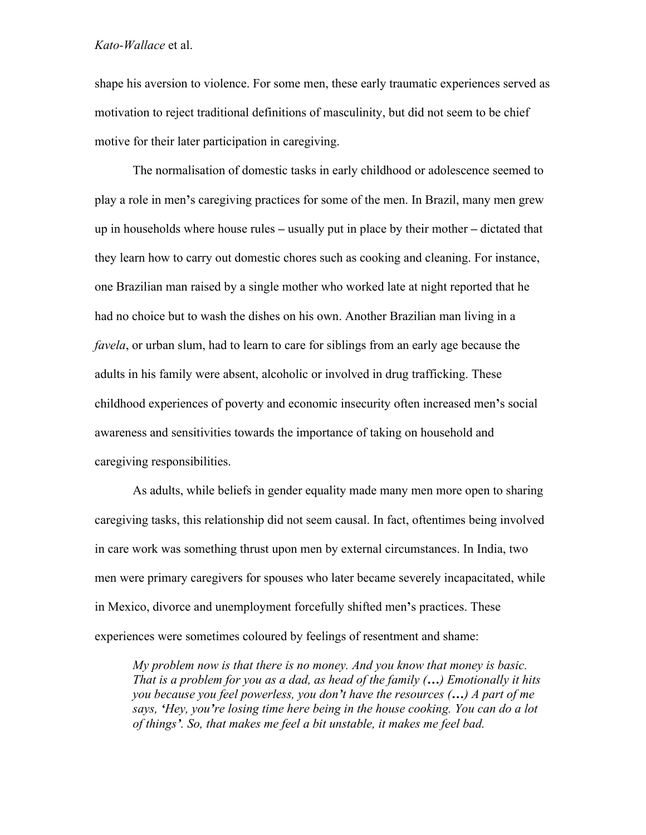shape his aversion to violence. For some men, these early traumatic experiences served as motivation to reject traditional definitions of masculinity, but did not seem to be chief motive for their later participation in caregiving.

The normalisation of domestic tasks in early childhood or adolescence seemed to play a role in men**'**s caregiving practices for some of the men. In Brazil, many men grew up in households where house rules **–** usually put in place by their mother **–** dictated that they learn how to carry out domestic chores such as cooking and cleaning. For instance, one Brazilian man raised by a single mother who worked late at night reported that he had no choice but to wash the dishes on his own. Another Brazilian man living in a *favela*, or urban slum, had to learn to care for siblings from an early age because the adults in his family were absent, alcoholic or involved in drug trafficking. These childhood experiences of poverty and economic insecurity often increased men**'**s social awareness and sensitivities towards the importance of taking on household and caregiving responsibilities.

As adults, while beliefs in gender equality made many men more open to sharing caregiving tasks, this relationship did not seem causal. In fact, oftentimes being involved in care work was something thrust upon men by external circumstances. In India, two men were primary caregivers for spouses who later became severely incapacitated, while in Mexico, divorce and unemployment forcefully shifted men**'**s practices. These experiences were sometimes coloured by feelings of resentment and shame:

*My problem now is that there is no money. And you know that money is basic. That is a problem for you as a dad, as head of the family (…) Emotionally it hits you because you feel powerless, you don't have the resources (…) A part of me says, 'Hey, you're losing time here being in the house cooking. You can do a lot of things'. So, that makes me feel a bit unstable, it makes me feel bad.*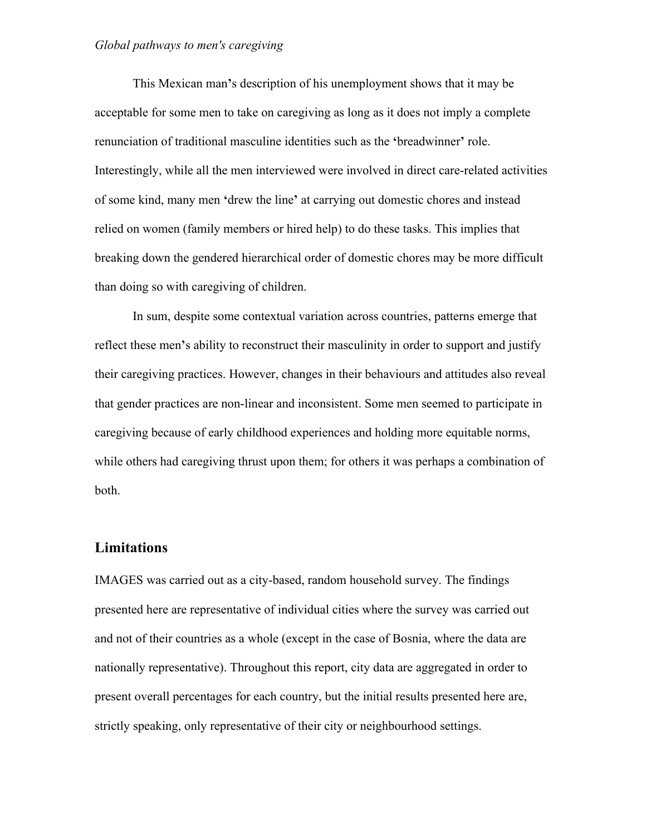This Mexican man**'**s description of his unemployment shows that it may be acceptable for some men to take on caregiving as long as it does not imply a complete renunciation of traditional masculine identities such as the **'**breadwinner**'** role. Interestingly, while all the men interviewed were involved in direct care-related activities of some kind, many men **'**drew the line**'** at carrying out domestic chores and instead relied on women (family members or hired help) to do these tasks. This implies that breaking down the gendered hierarchical order of domestic chores may be more difficult than doing so with caregiving of children.

In sum, despite some contextual variation across countries, patterns emerge that reflect these men**'**s ability to reconstruct their masculinity in order to support and justify their caregiving practices. However, changes in their behaviours and attitudes also reveal that gender practices are non-linear and inconsistent. Some men seemed to participate in caregiving because of early childhood experiences and holding more equitable norms, while others had caregiving thrust upon them; for others it was perhaps a combination of both.

### **Limitations**

IMAGES was carried out as a city-based, random household survey. The findings presented here are representative of individual cities where the survey was carried out and not of their countries as a whole (except in the case of Bosnia, where the data are nationally representative). Throughout this report, city data are aggregated in order to present overall percentages for each country, but the initial results presented here are, strictly speaking, only representative of their city or neighbourhood settings.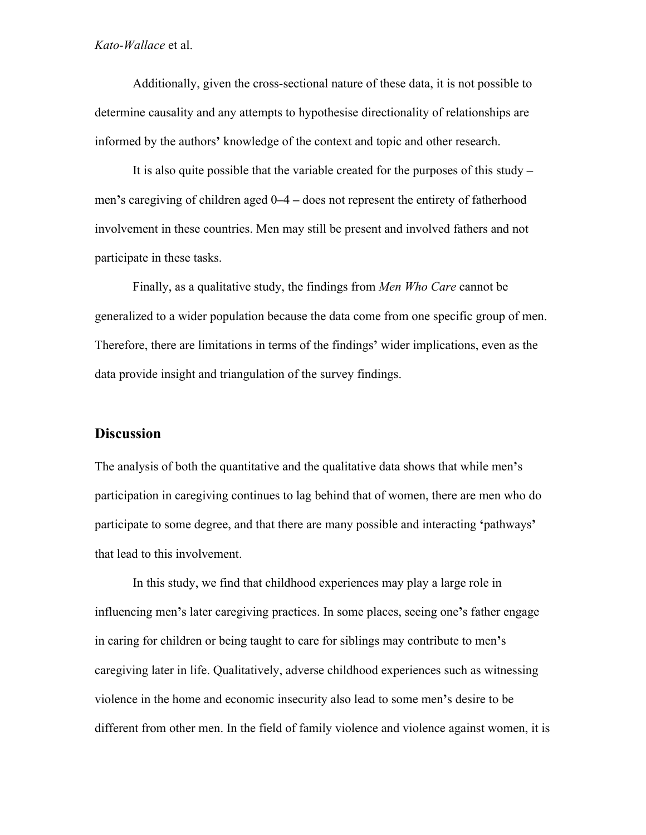Additionally, given the cross-sectional nature of these data, it is not possible to determine causality and any attempts to hypothesise directionality of relationships are informed by the authors**'** knowledge of the context and topic and other research.

It is also quite possible that the variable created for the purposes of this study **–** men**'**s caregiving of children aged 0**–**4 **–** does not represent the entirety of fatherhood involvement in these countries. Men may still be present and involved fathers and not participate in these tasks.

Finally, as a qualitative study, the findings from *Men Who Care* cannot be generalized to a wider population because the data come from one specific group of men. Therefore, there are limitations in terms of the findings**'** wider implications, even as the data provide insight and triangulation of the survey findings.

# **Discussion**

The analysis of both the quantitative and the qualitative data shows that while men**'**s participation in caregiving continues to lag behind that of women, there are men who do participate to some degree, and that there are many possible and interacting **'**pathways**'** that lead to this involvement.

In this study, we find that childhood experiences may play a large role in influencing men**'**s later caregiving practices. In some places, seeing one**'**s father engage in caring for children or being taught to care for siblings may contribute to men**'**s caregiving later in life. Qualitatively, adverse childhood experiences such as witnessing violence in the home and economic insecurity also lead to some men**'**s desire to be different from other men. In the field of family violence and violence against women, it is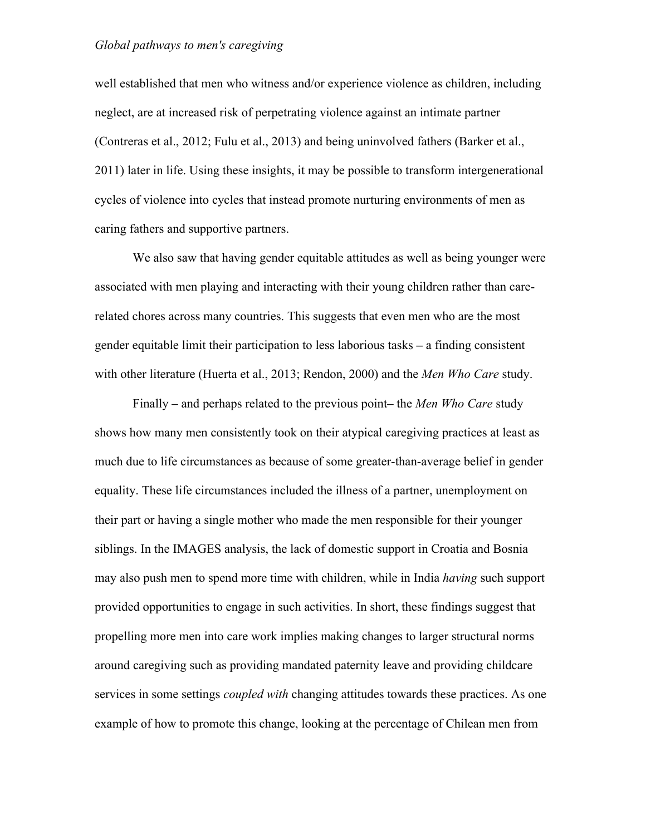well established that men who witness and/or experience violence as children, including neglect, are at increased risk of perpetrating violence against an intimate partner (Contreras et al., 2012; Fulu et al., 2013) and being uninvolved fathers (Barker et al., 2011) later in life. Using these insights, it may be possible to transform intergenerational cycles of violence into cycles that instead promote nurturing environments of men as caring fathers and supportive partners.

We also saw that having gender equitable attitudes as well as being younger were associated with men playing and interacting with their young children rather than carerelated chores across many countries. This suggests that even men who are the most gender equitable limit their participation to less laborious tasks **–** a finding consistent with other literature (Huerta et al., 2013; Rendon, 2000) and the *Men Who Care* study.

Finally **–** and perhaps related to the previous point**–** the *Men Who Care* study shows how many men consistently took on their atypical caregiving practices at least as much due to life circumstances as because of some greater-than-average belief in gender equality. These life circumstances included the illness of a partner, unemployment on their part or having a single mother who made the men responsible for their younger siblings. In the IMAGES analysis, the lack of domestic support in Croatia and Bosnia may also push men to spend more time with children, while in India *having* such support provided opportunities to engage in such activities. In short, these findings suggest that propelling more men into care work implies making changes to larger structural norms around caregiving such as providing mandated paternity leave and providing childcare services in some settings *coupled with* changing attitudes towards these practices. As one example of how to promote this change, looking at the percentage of Chilean men from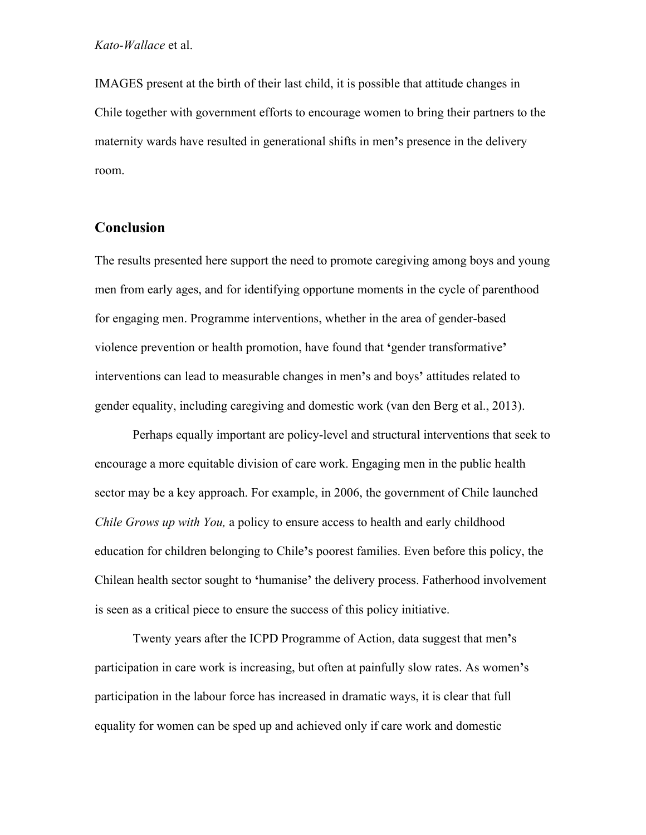IMAGES present at the birth of their last child, it is possible that attitude changes in Chile together with government efforts to encourage women to bring their partners to the maternity wards have resulted in generational shifts in men**'**s presence in the delivery room.

# **Conclusion**

The results presented here support the need to promote caregiving among boys and young men from early ages, and for identifying opportune moments in the cycle of parenthood for engaging men. Programme interventions, whether in the area of gender-based violence prevention or health promotion, have found that **'**gender transformative**'** interventions can lead to measurable changes in men**'**s and boys**'** attitudes related to gender equality, including caregiving and domestic work (van den Berg et al., 2013).

Perhaps equally important are policy-level and structural interventions that seek to encourage a more equitable division of care work. Engaging men in the public health sector may be a key approach. For example, in 2006, the government of Chile launched *Chile Grows up with You,* a policy to ensure access to health and early childhood education for children belonging to Chile**'**s poorest families. Even before this policy, the Chilean health sector sought to **'**humanise**'** the delivery process. Fatherhood involvement is seen as a critical piece to ensure the success of this policy initiative.

Twenty years after the ICPD Programme of Action, data suggest that men**'**s participation in care work is increasing, but often at painfully slow rates. As women**'**s participation in the labour force has increased in dramatic ways, it is clear that full equality for women can be sped up and achieved only if care work and domestic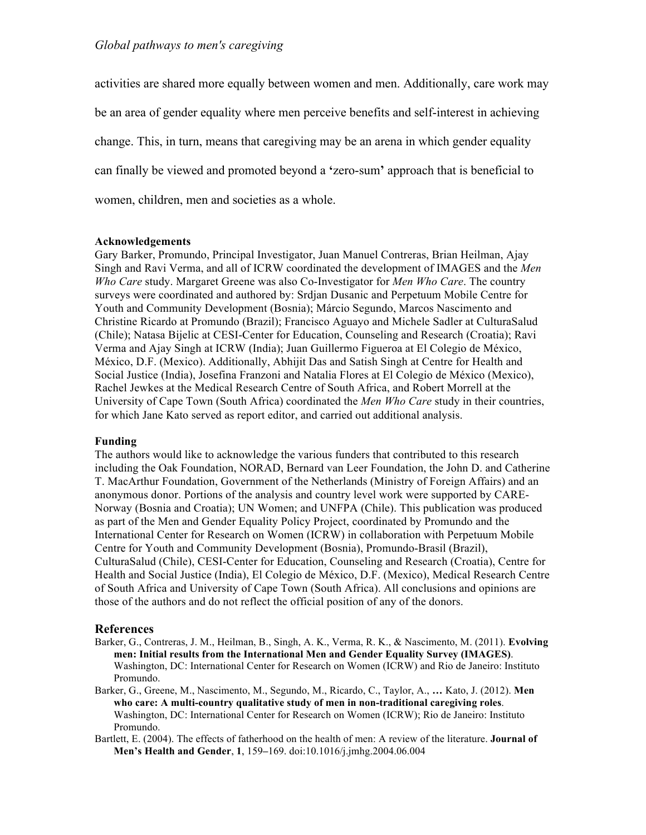activities are shared more equally between women and men. Additionally, care work may be an area of gender equality where men perceive benefits and self-interest in achieving change. This, in turn, means that caregiving may be an arena in which gender equality can finally be viewed and promoted beyond a **'**zero-sum**'** approach that is beneficial to women, children, men and societies as a whole.

#### **Acknowledgements**

Gary Barker, Promundo, Principal Investigator, Juan Manuel Contreras, Brian Heilman, Ajay Singh and Ravi Verma, and all of ICRW coordinated the development of IMAGES and the *Men Who Care* study. Margaret Greene was also Co-Investigator for *Men Who Care*. The country surveys were coordinated and authored by: Srdjan Dusanic and Perpetuum Mobile Centre for Youth and Community Development (Bosnia); Márcio Segundo, Marcos Nascimento and Christine Ricardo at Promundo (Brazil); Francisco Aguayo and Michele Sadler at CulturaSalud (Chile); Natasa Bijelic at CESI-Center for Education, Counseling and Research (Croatia); Ravi Verma and Ajay Singh at ICRW (India); Juan Guillermo Figueroa at El Colegio de México, México, D.F. (Mexico). Additionally, Abhijit Das and Satish Singh at Centre for Health and Social Justice (India), Josefina Franzoni and Natalia Flores at El Colegio de México (Mexico), Rachel Jewkes at the Medical Research Centre of South Africa, and Robert Morrell at the University of Cape Town (South Africa) coordinated the *Men Who Care* study in their countries, for which Jane Kato served as report editor, and carried out additional analysis.

#### **Funding**

The authors would like to acknowledge the various funders that contributed to this research including the Oak Foundation, NORAD, Bernard van Leer Foundation, the John D. and Catherine T. MacArthur Foundation, Government of the Netherlands (Ministry of Foreign Affairs) and an anonymous donor. Portions of the analysis and country level work were supported by CARE-Norway (Bosnia and Croatia); UN Women; and UNFPA (Chile). This publication was produced as part of the Men and Gender Equality Policy Project, coordinated by Promundo and the International Center for Research on Women (ICRW) in collaboration with Perpetuum Mobile Centre for Youth and Community Development (Bosnia), Promundo-Brasil (Brazil), CulturaSalud (Chile), CESI-Center for Education, Counseling and Research (Croatia), Centre for Health and Social Justice (India), El Colegio de México, D.F. (Mexico), Medical Research Centre of South Africa and University of Cape Town (South Africa). All conclusions and opinions are those of the authors and do not reflect the official position of any of the donors.

#### **References**

- Barker, G., Contreras, J. M., Heilman, B., Singh, A. K., Verma, R. K., & Nascimento, M. (2011). **Evolving men: Initial results from the International Men and Gender Equality Survey (IMAGES)**. Washington, DC: International Center for Research on Women (ICRW) and Rio de Janeiro: Instituto Promundo.
- Barker, G., Greene, M., Nascimento, M., Segundo, M., Ricardo, C., Taylor, A., **…** Kato, J. (2012). **Men who care: A multi-country qualitative study of men in non-traditional caregiving roles**. Washington, DC: International Center for Research on Women (ICRW); Rio de Janeiro: Instituto Promundo.
- Bartlett, E. (2004). The effects of fatherhood on the health of men: A review of the literature. **Journal of Men's Health and Gender**, **1**, 159**–**169. doi:10.1016/j.jmhg.2004.06.004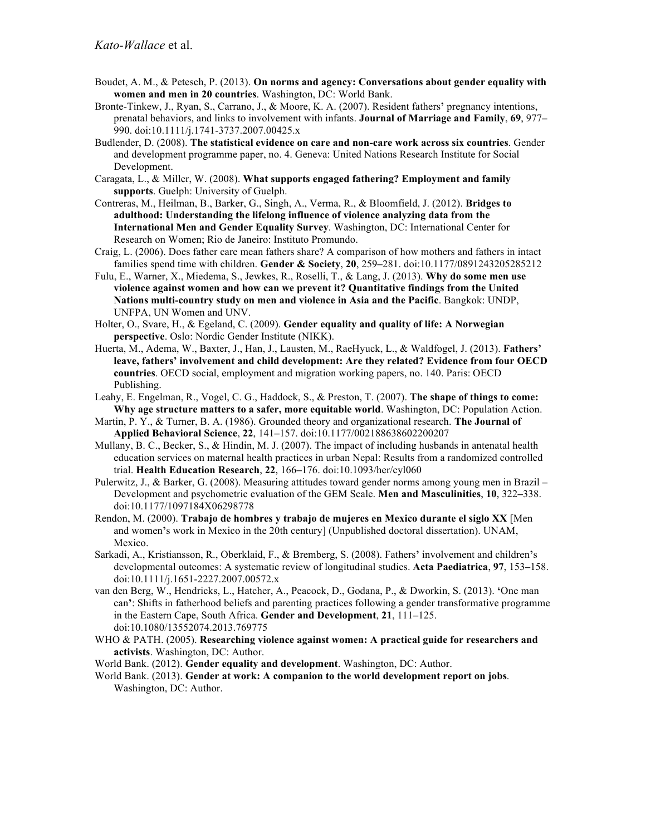- Boudet, A. M., & Petesch, P. (2013). **On norms and agency: Conversations about gender equality with women and men in 20 countries**. Washington, DC: World Bank.
- Bronte-Tinkew, J., Ryan, S., Carrano, J., & Moore, K. A. (2007). Resident fathers**'** pregnancy intentions, prenatal behaviors, and links to involvement with infants. **Journal of Marriage and Family**, **69**, 977**–** 990. doi:10.1111/j.1741-3737.2007.00425.x
- Budlender, D. (2008). **The statistical evidence on care and non-care work across six countries**. Gender and development programme paper, no. 4. Geneva: United Nations Research Institute for Social Development.
- Caragata, L., & Miller, W. (2008). **What supports engaged fathering? Employment and family supports**. Guelph: University of Guelph.
- Contreras, M., Heilman, B., Barker, G., Singh, A., Verma, R., & Bloomfield, J. (2012). **Bridges to adulthood: Understanding the lifelong influence of violence analyzing data from the International Men and Gender Equality Survey**. Washington, DC: International Center for Research on Women; Rio de Janeiro: Instituto Promundo.
- Craig, L. (2006). Does father care mean fathers share? A comparison of how mothers and fathers in intact families spend time with children. **Gender & Society**, **20**, 259**–**281. doi:10.1177/0891243205285212
- Fulu, E., Warner, X., Miedema, S., Jewkes, R., Roselli, T., & Lang, J. (2013). **Why do some men use violence against women and how can we prevent it? Quantitative findings from the United Nations multi-country study on men and violence in Asia and the Pacific**. Bangkok: UNDP, UNFPA, UN Women and UNV.
- Holter, O., Svare, H., & Egeland, C. (2009). **Gender equality and quality of life: A Norwegian perspective**. Oslo: Nordic Gender Institute (NIKK).
- Huerta, M., Adema, W., Baxter, J., Han, J., Lausten, M., RaeHyuck, L., & Waldfogel, J. (2013). **Fathers' leave, fathers' involvement and child development: Are they related? Evidence from four OECD countries**. OECD social, employment and migration working papers, no. 140. Paris: OECD Publishing.
- Leahy, E. Engelman, R., Vogel, C. G., Haddock, S., & Preston, T. (2007). **The shape of things to come: Why age structure matters to a safer, more equitable world**. Washington, DC: Population Action.
- Martin, P. Y., & Turner, B. A. (1986). Grounded theory and organizational research. **The Journal of Applied Behavioral Science**, **22**, 141**–**157. doi:10.1177/002188638602200207
- Mullany, B. C., Becker, S., & Hindin, M. J. (2007). The impact of including husbands in antenatal health education services on maternal health practices in urban Nepal: Results from a randomized controlled trial. **Health Education Research**, **22**, 166**–**176. doi:10.1093/her/cyl060
- Pulerwitz, J., & Barker, G. (2008). Measuring attitudes toward gender norms among young men in Brazil **–** Development and psychometric evaluation of the GEM Scale. **Men and Masculinities**, **10**, 322**–**338. doi:10.1177/1097184X06298778
- Rendon, M. (2000). **Trabajo de hombres y trabajo de mujeres en Mexico durante el siglo XX** [Men and women**'**s work in Mexico in the 20th century] (Unpublished doctoral dissertation). UNAM, Mexico.
- Sarkadi, A., Kristiansson, R., Oberklaid, F., & Bremberg, S. (2008). Fathers**'** involvement and children**'**s developmental outcomes: A systematic review of longitudinal studies. **Acta Paediatrica**, **97**, 153**–**158. doi:10.1111/j.1651-2227.2007.00572.x
- van den Berg, W., Hendricks, L., Hatcher, A., Peacock, D., Godana, P., & Dworkin, S. (2013). **'**One man can**'**: Shifts in fatherhood beliefs and parenting practices following a gender transformative programme in the Eastern Cape, South Africa. **Gender and Development**, **21**, 111**–**125. doi:10.1080/13552074.2013.769775
- WHO & PATH. (2005). **Researching violence against women: A practical guide for researchers and activists**. Washington, DC: Author.
- World Bank. (2012). **Gender equality and development**. Washington, DC: Author.
- World Bank. (2013). **Gender at work: A companion to the world development report on jobs**. Washington, DC: Author.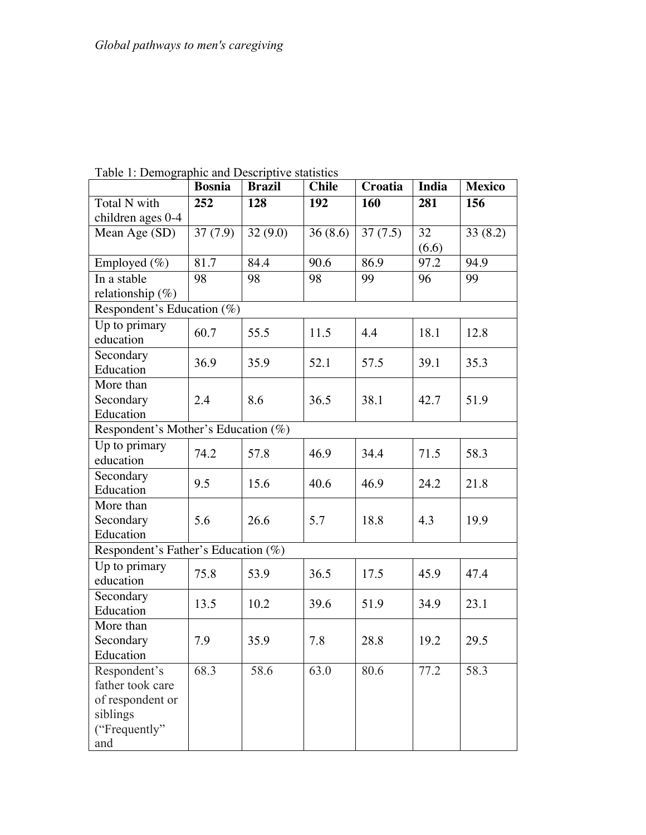|                                     | raoic 1. Demographic and Descriptive statistics |               |              |         |                 |               |  |  |  |
|-------------------------------------|-------------------------------------------------|---------------|--------------|---------|-----------------|---------------|--|--|--|
|                                     | <b>Bosnia</b>                                   | <b>Brazil</b> | <b>Chile</b> | Croatia | India           | <b>Mexico</b> |  |  |  |
| Total N with                        | 252                                             | 128           | 192          | 160     | 281             | 156           |  |  |  |
| children ages 0-4                   |                                                 |               |              |         |                 |               |  |  |  |
| Mean $\overline{Age(SD)}$           | 37(7.9)                                         | 32(9.0)       | 36(8.6)      | 37(7.5) | $\overline{32}$ | 33(8.2)       |  |  |  |
|                                     |                                                 |               |              |         | (6.6)           |               |  |  |  |
| Employed (%)                        | 81.7                                            | 84.4          | 90.6         | 86.9    | 97.2            | 94.9          |  |  |  |
| In a stable                         | 98                                              | 98            | 98           | 99      | 96              | 99            |  |  |  |
| relationship $(\%)$                 |                                                 |               |              |         |                 |               |  |  |  |
| Respondent's Education (%)          |                                                 |               |              |         |                 |               |  |  |  |
| Up to primary                       |                                                 |               |              |         |                 |               |  |  |  |
| education                           | 60.7                                            | 55.5          | 11.5         | 4.4     | 18.1            | 12.8          |  |  |  |
| Secondary                           | 36.9                                            | 35.9          | 52.1         | 57.5    | 39.1            | 35.3          |  |  |  |
| Education                           |                                                 |               |              |         |                 |               |  |  |  |
| More than                           |                                                 |               |              |         |                 |               |  |  |  |
| Secondary                           | 2.4                                             | 8.6           | 36.5         | 38.1    | 42.7            | 51.9          |  |  |  |
| Education                           |                                                 |               |              |         |                 |               |  |  |  |
| Respondent's Mother's Education (%) |                                                 |               |              |         |                 |               |  |  |  |
| Up to primary                       | 74.2                                            | 57.8          | 46.9         | 34.4    | 71.5            | 58.3          |  |  |  |
| education                           |                                                 |               |              |         |                 |               |  |  |  |
| Secondary                           | 9.5                                             | 15.6          | 40.6         | 46.9    | 24.2            | 21.8          |  |  |  |
| Education                           |                                                 |               |              |         |                 |               |  |  |  |
| More than                           |                                                 |               |              |         |                 |               |  |  |  |
| Secondary                           | 5.6                                             | 26.6          | 5.7          | 18.8    | 4.3             | 19.9          |  |  |  |
| Education                           |                                                 |               |              |         |                 |               |  |  |  |
| Respondent's Father's Education (%) |                                                 |               |              |         |                 |               |  |  |  |
| Up to primary                       | 75.8                                            | 53.9          | 36.5         | 17.5    | 45.9            | 47.4          |  |  |  |
| education                           |                                                 |               |              |         |                 |               |  |  |  |
| Secondary                           | 13.5                                            | 10.2          | 39.6         | 51.9    | 34.9            | 23.1          |  |  |  |
| Education                           |                                                 |               |              |         |                 |               |  |  |  |
| More than                           |                                                 |               |              |         |                 |               |  |  |  |
| Secondary                           | 7.9                                             | 35.9          | 7.8          | 28.8    | 19.2            | 29.5          |  |  |  |
| Education                           |                                                 |               |              |         |                 |               |  |  |  |
| Respondent's                        | 68.3                                            | 58.6          | 63.0         | 80.6    | 77.2            | 58.3          |  |  |  |
| father took care                    |                                                 |               |              |         |                 |               |  |  |  |
| of respondent or                    |                                                 |               |              |         |                 |               |  |  |  |
| siblings                            |                                                 |               |              |         |                 |               |  |  |  |
| ("Frequently"                       |                                                 |               |              |         |                 |               |  |  |  |
| and                                 |                                                 |               |              |         |                 |               |  |  |  |

Table 1: Demographic and Descriptive statistics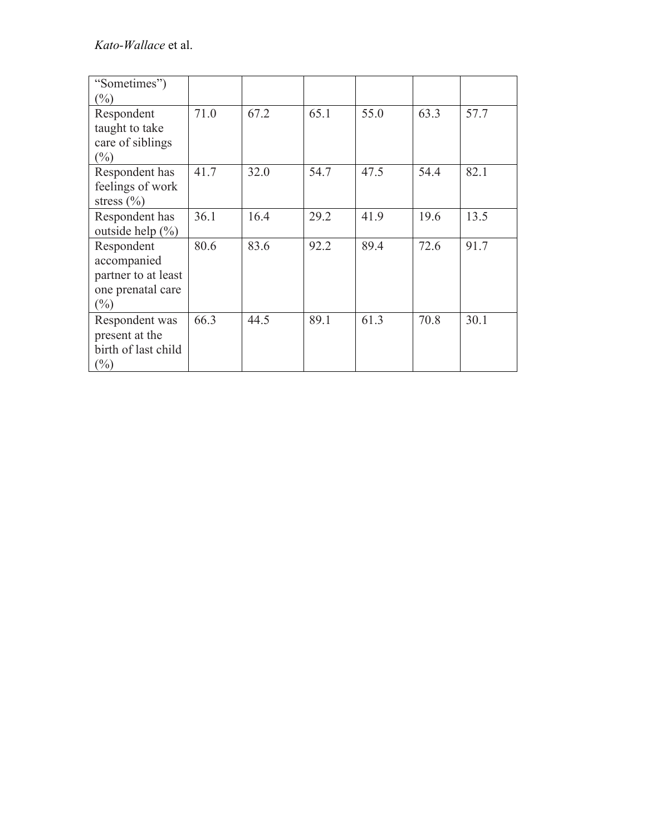| "Sometimes")<br>$(\%)$                                                          |      |      |      |      |      |      |
|---------------------------------------------------------------------------------|------|------|------|------|------|------|
| Respondent<br>taught to take<br>care of siblings<br>$(\%)$                      | 71.0 | 67.2 | 65.1 | 55.0 | 63.3 | 57.7 |
| Respondent has<br>feelings of work<br>stress $(\% )$                            | 41.7 | 32.0 | 54.7 | 47.5 | 54.4 | 82.1 |
| Respondent has<br>outside help $(\% )$                                          | 36.1 | 16.4 | 29.2 | 41.9 | 19.6 | 13.5 |
| Respondent<br>accompanied<br>partner to at least<br>one prenatal care<br>$(\%)$ | 80.6 | 83.6 | 92.2 | 89.4 | 72.6 | 91.7 |
| Respondent was<br>present at the<br>birth of last child<br>$(\%)$               | 66.3 | 44.5 | 89.1 | 61.3 | 70.8 | 30.1 |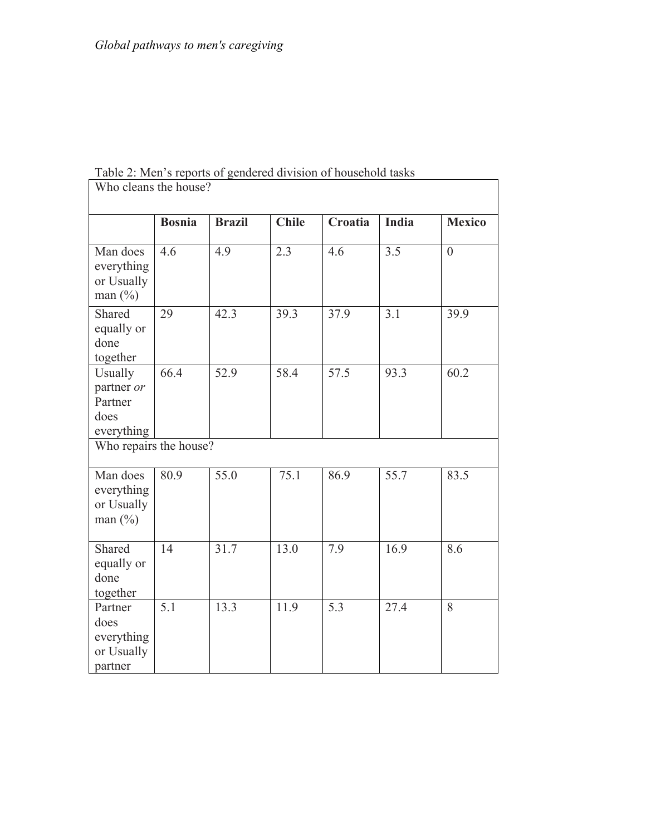| Who cleans the house?                                  |                        |               |                   |         |              |                |  |  |  |
|--------------------------------------------------------|------------------------|---------------|-------------------|---------|--------------|----------------|--|--|--|
|                                                        | <b>Bosnia</b>          | <b>Brazil</b> | <b>Chile</b>      | Croatia | <b>India</b> | <b>Mexico</b>  |  |  |  |
| Man does<br>everything<br>or Usually<br>man $(\%)$     | 4.6                    | 4.9           | 2.3               | 4.6     | 3.5          | $\overline{0}$ |  |  |  |
| Shared<br>equally or<br>done<br>together               | 29                     | 42.3          | 39.3              | 37.9    | 3.1          | 39.9           |  |  |  |
| Usually<br>partner or<br>Partner<br>does<br>everything | 66.4                   | 52.9          | $\overline{58.4}$ | 57.5    | 93.3         | 60.2           |  |  |  |
|                                                        | Who repairs the house? |               |                   |         |              |                |  |  |  |
| Man does<br>everything<br>or Usually<br>man (%)        | 80.9                   | 55.0          | 75.1              | 86.9    | 55.7         | 83.5           |  |  |  |
| Shared<br>equally or<br>done<br>together               | 14                     | 31.7          | 13.0              | 7.9     | 16.9         | 8.6            |  |  |  |
| Partner<br>does<br>everything<br>or Usually<br>partner | $\overline{5.1}$       | 13.3          | 11.9              | 5.3     | 27.4         | 8              |  |  |  |

Table 2: Men's reports of gendered division of household tasks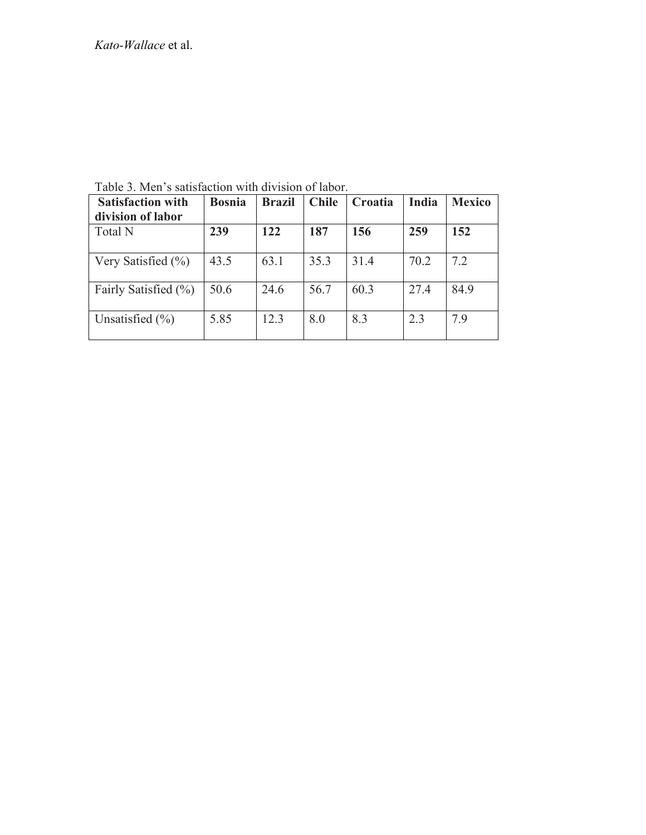| <b>Satisfaction with</b><br>division of labor | <b>Bosnia</b> | <b>Brazil</b> | <b>Chile</b> | Croatia | India | <b>Mexico</b> |
|-----------------------------------------------|---------------|---------------|--------------|---------|-------|---------------|
| <b>Total N</b>                                | 239           | 122           | 187          | 156     | 259   | 152           |
| Very Satisfied $(\% )$                        | 43.5          | 63.1          | 35.3         | 31.4    | 70.2  | 7.2           |
| Fairly Satisfied (%)                          | 50.6          | 24.6          | 56.7         | 60.3    | 27.4  | 84.9          |
| Unsatisfied $(\% )$                           | 5.85          | 12.3          | 8.0          | 8.3     | 2.3   | 7.9           |

Table 3. Men's satisfaction with division of labor.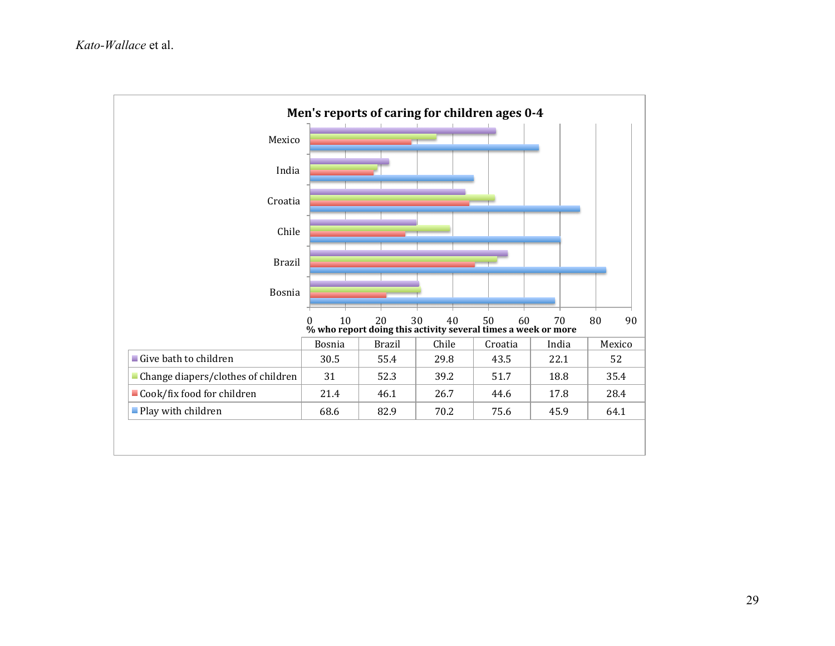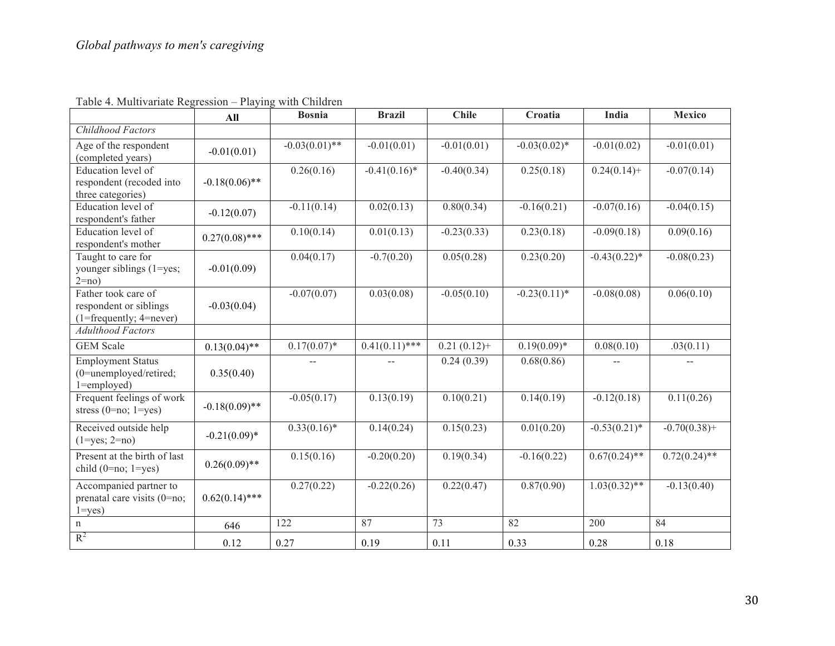|                                                                                              | All              | <b>Bosnia</b>           | <b>Brazil</b>    | <b>Chile</b>   | Croatia         | India           | <b>Mexico</b>   |
|----------------------------------------------------------------------------------------------|------------------|-------------------------|------------------|----------------|-----------------|-----------------|-----------------|
| Childhood Factors                                                                            |                  |                         |                  |                |                 |                 |                 |
| Age of the respondent<br>(completed years)                                                   | $-0.01(0.01)$    | $-0.03(0.01)$ **        | $-0.01(0.01)$    | $-0.01(0.01)$  | $-0.03(0.02)$ * | $-0.01(0.02)$   | $-0.01(0.01)$   |
| Education level of<br>respondent (recoded into<br>three categories)                          | $-0.18(0.06)$ ** | 0.26(0.16)              | $-0.41(0.16)$ *  | $-0.40(0.34)$  | 0.25(0.18)      | $0.24(0.14) +$  | $-0.07(0.14)$   |
| Education level of<br>respondent's father                                                    | $-0.12(0.07)$    | $-0.11(0.14)$           | 0.02(0.13)       | 0.80(0.34)     | $-0.16(0.21)$   | $-0.07(0.16)$   | $-0.04(0.15)$   |
| Education level of<br>respondent's mother                                                    | $0.27(0.08)$ *** | 0.10(0.14)              | 0.01(0.13)       | $-0.23(0.33)$  | 0.23(0.18)      | $-0.09(0.18)$   | 0.09(0.16)      |
| Taught to care for<br>younger siblings (1=yes;<br>$2=no$ )                                   | $-0.01(0.09)$    | $0.04(\overline{0.17})$ | $-0.7(0.20)$     | 0.05(0.28)     | 0.23(0.20)      | $-0.43(0.22)$ * | $-0.08(0.23)$   |
| Father took care of<br>respondent or siblings<br>$(1 = \text{frequently}; 4 = \text{never})$ | $-0.03(0.04)$    | $-0.07(0.07)$           | 0.03(0.08)       | $-0.05(0.10)$  | $-0.23(0.11)^*$ | $-0.08(0.08)$   | 0.06(0.10)      |
| <b>Adulthood Factors</b>                                                                     |                  |                         |                  |                |                 |                 |                 |
| <b>GEM</b> Scale                                                                             | $0.13(0.04)$ **  | $0.17(0.07)^*$          | $0.41(0.11)$ *** | $0.21(0.12)$ + | $0.19(0.09)^*$  | 0.08(0.10)      | .03(0.11)       |
| <b>Employment Status</b><br>(0=unemployed/retired;<br>$1 =$ employed)                        | 0.35(0.40)       |                         |                  | 0.24(0.39)     | 0.68(0.86)      |                 |                 |
| Frequent feelings of work<br>stress $(0=no; 1=yes)$                                          | $-0.18(0.09)$ ** | $-0.05(0.17)$           | 0.13(0.19)       | 0.10(0.21)     | 0.14(0.19)      | $-0.12(0.18)$   | 0.11(0.26)      |
| Received outside help<br>$(1 = yes; 2 = no)$                                                 | $-0.21(0.09)$ *  | $0.33(0.16)^*$          | 0.14(0.24)       | 0.15(0.23)     | 0.01(0.20)      | $-0.53(0.21)$ * | $-0.70(0.38)$ + |
| Present at the birth of last<br>child $(0=no; 1=yes)$                                        | $0.26(0.09)$ **  | 0.15(0.16)              | $-0.20(0.20)$    | 0.19(0.34)     | $-0.16(0.22)$   | $0.67(0.24)$ ** | $0.72(0.24)$ ** |
| Accompanied partner to<br>prenatal care visits (0=no;<br>$1 = yes$ )                         | $0.62(0.14)$ *** | 0.27(0.22)              | $-0.22(0.26)$    | 0.22(0.47)     | 0.87(0.90)      | $1.03(0.32)$ ** | $-0.13(0.40)$   |
| n                                                                                            | 646              | 122                     | 87               | 73             | 82              | 200             | 84              |
| $R^2$                                                                                        | 0.12             | 0.27                    | 0.19             | 0.11           | 0.33            | 0.28            | 0.18            |

Table 4. Multivariate Regression – Playing with Children